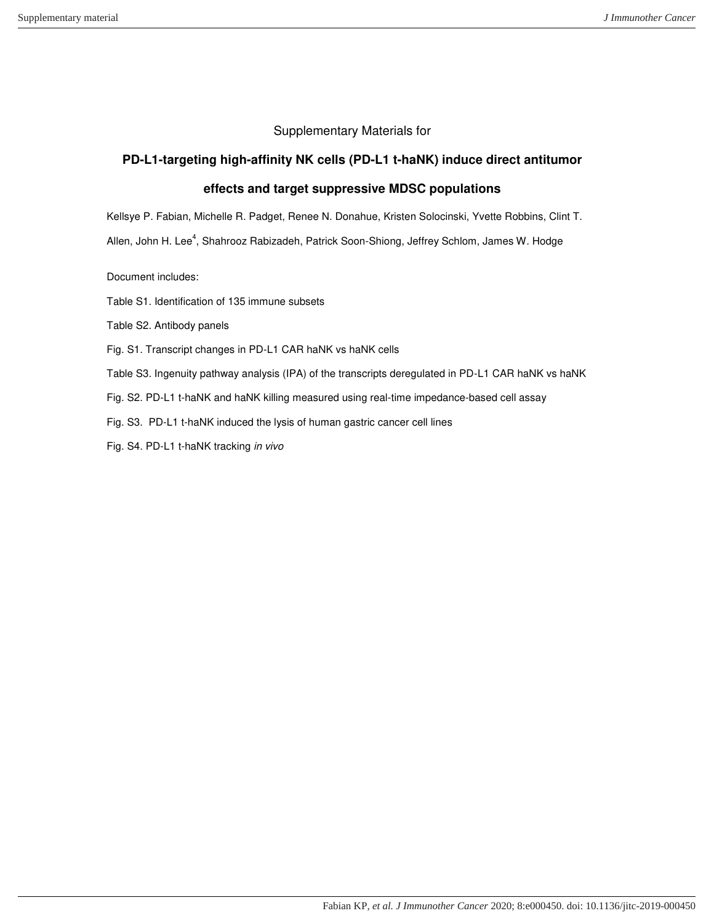## Supplementary Materials for

# **PD-L1-targeting high-affinity NK cells (PD-L1 t-haNK) induce direct antitumor**

# **effects and target suppressive MDSC populations**

Kellsye P. Fabian, Michelle R. Padget, Renee N. Donahue, Kristen Solocinski, Yvette Robbins, Clint T.

Allen, John H. Lee<sup>4</sup>, Shahrooz Rabizadeh, Patrick Soon-Shiong, Jeffrey Schlom, James W. Hodge

Document includes:

Table S1. Identification of 135 immune subsets

Table S2. Antibody panels

Fig. S1. Transcript changes in PD-L1 CAR haNK vs haNK cells

Table S3. Ingenuity pathway analysis (IPA) of the transcripts deregulated in PD-L1 CAR haNK vs haNK

Fig. S2. PD-L1 t-haNK and haNK killing measured using real-time impedance-based cell assay

Fig. S3. PD-L1 t-haNK induced the lysis of human gastric cancer cell lines

Fig. S4. PD-L1 t-haNK tracking *in vivo*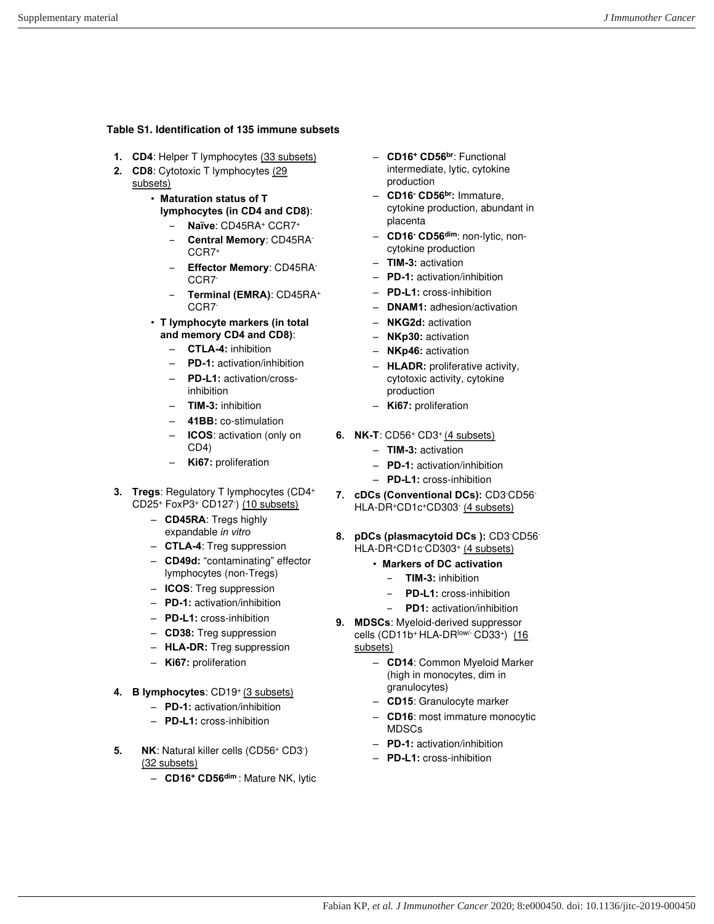#### **Table S1. Identification of 135 immune subsets**

- **1. CD4**: Helper T lymphocytes (33 subsets)
- **2. CD8**: Cytotoxic T lymphocytes (29 subsets)
	- **Maturation status of T lymphocytes (in CD4 and CD8)**: ‒ **Naïve**: CD45RA<sup>+</sup> CCR7<sup>+</sup>
		- ‒ **Central Memory**: CD45RA-CCR7<sup>+</sup>
		- ‒ **Effector Memory**: CD45RA-CCR7-
		- ‒ **Terminal (EMRA)**: CD45RA<sup>+</sup> CCR7-
	- **T lymphocyte markers (in total and memory CD4 and CD8)**:
		- **CTLA-4:** inhibition
		- **PD-1:** activation/inhibition
		- **PD-L1:** activation/crossinhibition
		- **TIM-3:** inhibition
		- **41BB:** co-stimulation
		- **ICOS**: activation (only on CD4)
		- **Ki67:** proliferation
- **3. Tregs**: Regulatory T lymphocytes (CD4<sup>+</sup> CD25+ FoxP3+ CD127 ) (10 subsets)
	- **CD45RA**: Tregs highly expandable *in vitro*
	- **CTLA-4**: Treg suppression
	- **CD49d:** "contaminating" effector lymphocytes (non-Tregs)
	- **ICOS**: Treg suppression
	- **PD-1:** activation/inhibition
	- **PD-L1:** cross-inhibition
	- **CD38:** Treg suppression
	- **HLA-DR:** Treg suppression
	- **Ki67:** proliferation
- **4. B lymphocytes**: CD19<sup>+</sup>(3 subsets)
	- **PD-1:** activation/inhibition
	- **PD-L1:** cross-inhibition
- **5.** NK: Natural killer cells (CD56+ CD3) (32 subsets)
	- **CD16<sup>+</sup> CD56dim** : Mature NK, lytic
- **CD16<sup>+</sup> CD56br**: Functional intermediate, lytic, cytokine production
- **CD16- CD56br:** Immature, cytokine production, abundant in placenta
- **CD16- CD56dim**: non-lytic, noncytokine production
- **TIM-3:** activation
- **PD-1:** activation/inhibition
- **PD-L1:** cross-inhibition
- **DNAM1:** adhesion/activation
- **NKG2d:** activation
- **NKp30:** activation
- **NKp46:** activation
- **HLADR:** proliferative activity, cytotoxic activity, cytokine production
- **Ki67:** proliferation
- **6. NK-T**: CD56<sup>+</sup> CD3<sup>+</sup>(4 subsets)
	- **TIM-3:** activation
	- **PD-1:** activation/inhibition
	- **PD-L1:** cross-inhibition
- **7. cDCs (Conventional DCs):** CD3-CD56- HLA-DR+CD1c+CD303 (4 subsets)
- **8. pDCs (plasmacytoid DCs ):** CD3-CD56- HLA-DR+CD1c-CD303+ (4 subsets)
	- **Markers of DC activation**
		- ‒ **TIM-3:** inhibition
		- ‒ **PD-L1:** cross-inhibition
		- ‒ **PD1:** activation/inhibition
- **9. MDSCs**: Myeloid-derived suppressor cells (CD11b+ HLA-DR<sup>low/-</sup> CD33+) (16 subsets)
	- **CD14**: Common Myeloid Marker (high in monocytes, dim in granulocytes)
	- **CD15**: Granulocyte marker
	- **CD16**: most immature monocytic MDSCs
	- **PD-1:** activation/inhibition
	- **PD-L1:** cross-inhibition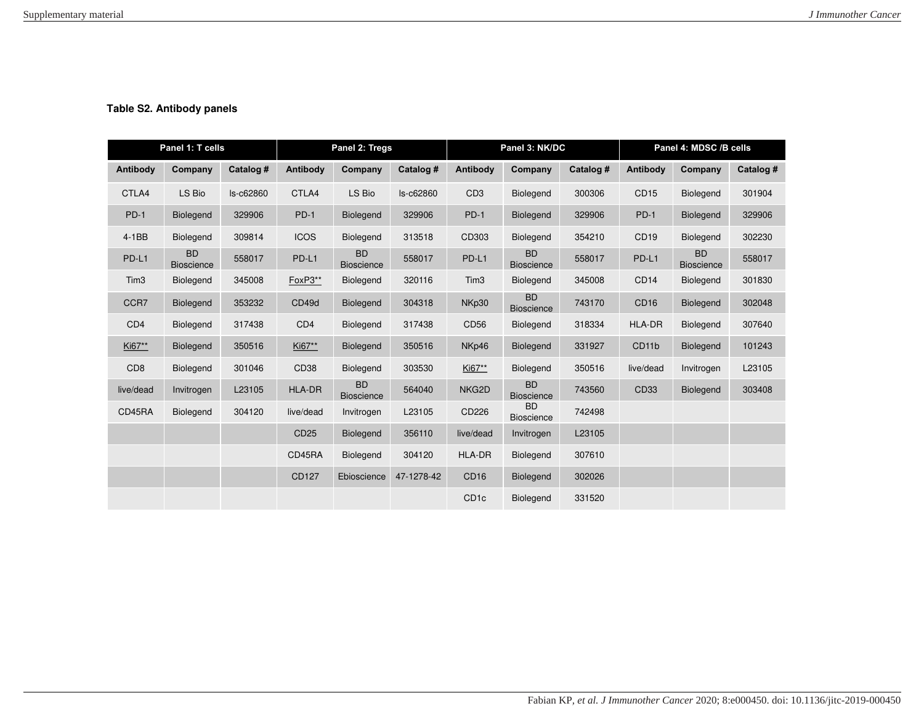### **Table S2. Antibody panels**

| Panel 1: T cells |                                |           | Panel 2: Tregs   |                                | Panel 3: NK/DC |                  |                                | Panel 4: MDSC /B cells |                    |                                |           |
|------------------|--------------------------------|-----------|------------------|--------------------------------|----------------|------------------|--------------------------------|------------------------|--------------------|--------------------------------|-----------|
| Antibody         | Company                        | Catalog # | Antibody         | Company                        | Catalog #      | Antibody         | Company                        | Catalog #              | <b>Antibody</b>    | Company                        | Catalog # |
| CTLA4            | LS Bio                         | Is-c62860 | CTLA4            | LS Bio                         | ls-c62860      | CD <sub>3</sub>  | <b>Biolegend</b>               | 300306                 | CD <sub>15</sub>   | Biolegend                      | 301904    |
| $PD-1$           | <b>Biolegend</b>               | 329906    | $PD-1$           | <b>Biolegend</b>               | 329906         | $PD-1$           | <b>Biolegend</b>               | 329906                 | $PD-1$             | Biolegend                      | 329906    |
| $4-1BB$          | <b>Biolegend</b>               | 309814    | <b>ICOS</b>      | Biolegend                      | 313518         | CD303            | Biolegend                      | 354210                 | CD <sub>19</sub>   | Biolegend                      | 302230    |
| PD-L1            | <b>BD</b><br><b>Bioscience</b> | 558017    | PD-L1            | <b>BD</b><br><b>Bioscience</b> | 558017         | PD-L1            | <b>BD</b><br><b>Bioscience</b> | 558017                 | PD-L1              | <b>BD</b><br><b>Bioscience</b> | 558017    |
| Tim <sub>3</sub> | Biolegend                      | 345008    | FoxP3**          | Biolegend                      | 320116         | Tim <sub>3</sub> | Biolegend                      | 345008                 | CD <sub>14</sub>   | Biolegend                      | 301830    |
| CCR7             | Biolegend                      | 353232    | CD49d            | <b>Biolegend</b>               | 304318         | NKp30            | <b>BD</b><br><b>Bioscience</b> | 743170                 | CD <sub>16</sub>   | <b>Biolegend</b>               | 302048    |
| CD <sub>4</sub>  | <b>Biolegend</b>               | 317438    | CD <sub>4</sub>  | Biolegend                      | 317438         | CD56             | Biolegend                      | 318334                 | <b>HLA-DR</b>      | Biolegend                      | 307640    |
| Ki67**           | <b>Biolegend</b>               | 350516    | Ki67**           | <b>Biolegend</b>               | 350516         | NKp46            | <b>Biolegend</b>               | 331927                 | CD <sub>11</sub> b | <b>Biolegend</b>               | 101243    |
| CD <sub>8</sub>  | Biolegend                      | 301046    | CD <sub>38</sub> | <b>Biolegend</b>               | 303530         | Ki67**           | Biolegend                      | 350516                 | live/dead          | Invitrogen                     | L23105    |
| live/dead        | Invitrogen                     | L23105    | <b>HLA-DR</b>    | <b>BD</b><br><b>Bioscience</b> | 564040         | NKG2D            | <b>BD</b><br><b>Bioscience</b> | 743560                 | CD33               | <b>Biolegend</b>               | 303408    |
| CD45RA           | Biolegend                      | 304120    | live/dead        | Invitrogen                     | L23105         | CD226            | <b>BD</b><br><b>Bioscience</b> | 742498                 |                    |                                |           |
|                  |                                |           | CD <sub>25</sub> | <b>Biolegend</b>               | 356110         | live/dead        | Invitrogen                     | L23105                 |                    |                                |           |
|                  |                                |           | CD45RA           | <b>Biolegend</b>               | 304120         | <b>HLA-DR</b>    | Biolegend                      | 307610                 |                    |                                |           |
|                  |                                |           | CD127            | Ebioscience                    | 47-1278-42     | CD <sub>16</sub> | <b>Biolegend</b>               | 302026                 |                    |                                |           |
|                  |                                |           |                  |                                |                | CD <sub>1c</sub> | Biolegend                      | 331520                 |                    |                                |           |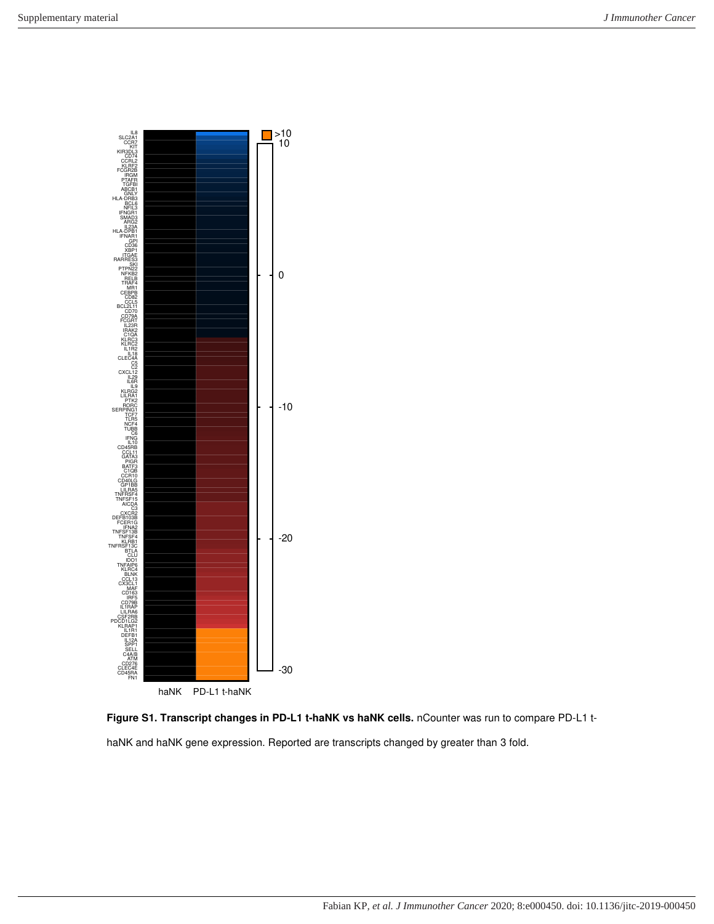

**Figure S1. Transcript changes in PD-L1 t-haNK vs haNK cells.** nCounter was run to compare PD-L1 thaNK and haNK gene expression. Reported are transcripts changed by greater than 3 fold.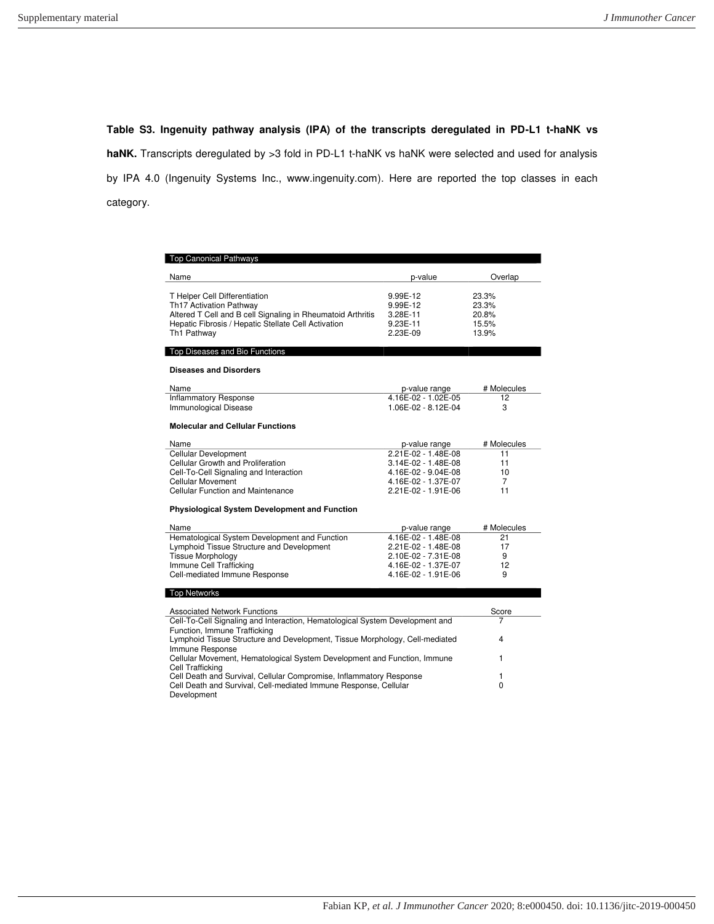**Table S3. Ingenuity pathway analysis (IPA) of the transcripts deregulated in PD-L1 t-haNK vs haNK.** Transcripts deregulated by >3 fold in PD-L1 t-haNK vs haNK were selected and used for analysis by IPA 4.0 (Ingenuity Systems Inc., [www.ingenuity.com\)](http://www.ingenuity.com/). Here are reported the top classes in each category.

| <b>Top Canonical Pathways</b>                                                |                     |             |  |  |
|------------------------------------------------------------------------------|---------------------|-------------|--|--|
| Name                                                                         | p-value             | Overlap     |  |  |
|                                                                              |                     |             |  |  |
| T Helper Cell Differentiation                                                | 9.99E-12            | 23.3%       |  |  |
| Th17 Activation Pathway                                                      | 9.99E-12            | 23.3%       |  |  |
| Altered T Cell and B cell Signaling in Rheumatoid Arthritis                  | 3.28E-11            | 20.8%       |  |  |
| Hepatic Fibrosis / Hepatic Stellate Cell Activation                          | 9.23E-11            | 15.5%       |  |  |
| Th1 Pathway                                                                  | 2.23E-09            | 13.9%       |  |  |
| Top Diseases and Bio Functions                                               |                     |             |  |  |
|                                                                              |                     |             |  |  |
| <b>Diseases and Disorders</b>                                                |                     |             |  |  |
| Name                                                                         | p-value range       | # Molecules |  |  |
| <b>Inflammatory Response</b>                                                 | 4.16E-02 - 1.02E-05 | 12          |  |  |
| <b>Immunological Disease</b>                                                 | 1.06E-02 - 8.12E-04 | 3           |  |  |
| <b>Molecular and Cellular Functions</b>                                      |                     |             |  |  |
|                                                                              |                     |             |  |  |
| Name                                                                         | p-value range       | # Molecules |  |  |
| Cellular Development                                                         | 2.21E-02 - 1.48E-08 | 11          |  |  |
| Cellular Growth and Proliferation                                            | 3.14E-02 - 1.48E-08 | 11          |  |  |
| Cell-To-Cell Signaling and Interaction                                       | 4.16E-02 - 9.04E-08 | 10          |  |  |
| Cellular Movement                                                            | 4.16E-02 - 1.37E-07 | 7           |  |  |
| Cellular Function and Maintenance                                            | 2.21E-02 - 1.91E-06 | 11          |  |  |
| <b>Physiological System Development and Function</b>                         |                     |             |  |  |
|                                                                              |                     |             |  |  |
| Name                                                                         | p-value range       | # Molecules |  |  |
| Hematological System Development and Function                                | 4.16E-02 - 1.48E-08 | 21          |  |  |
| Lymphoid Tissue Structure and Development                                    | 2.21E-02 - 1.48E-08 | 17          |  |  |
| <b>Tissue Morphology</b>                                                     | 2.10E-02 - 7.31E-08 | 9           |  |  |
| Immune Cell Trafficking                                                      | 4.16E-02 - 1.37E-07 | 12          |  |  |
| Cell-mediated Immune Response                                                | 4.16E-02 - 1.91E-06 | 9           |  |  |
| <b>Top Networks</b>                                                          |                     |             |  |  |
| <b>Associated Network Functions</b>                                          |                     | Score       |  |  |
| Cell-To-Cell Signaling and Interaction, Hematological System Development and | 7                   |             |  |  |
| Function, Immune Trafficking                                                 |                     |             |  |  |
| Lymphoid Tissue Structure and Development, Tissue Morphology, Cell-mediated  | 4                   |             |  |  |
| Immune Response                                                              |                     |             |  |  |
| Cellular Movement, Hematological System Development and Function, Immune     | 1                   |             |  |  |
| Cell Trafficking                                                             |                     |             |  |  |
| Cell Death and Survival, Cellular Compromise, Inflammatory Response          | 1                   |             |  |  |
| Cell Death and Survival, Cell-mediated Immune Response, Cellular             | $\Omega$            |             |  |  |
| Development                                                                  |                     |             |  |  |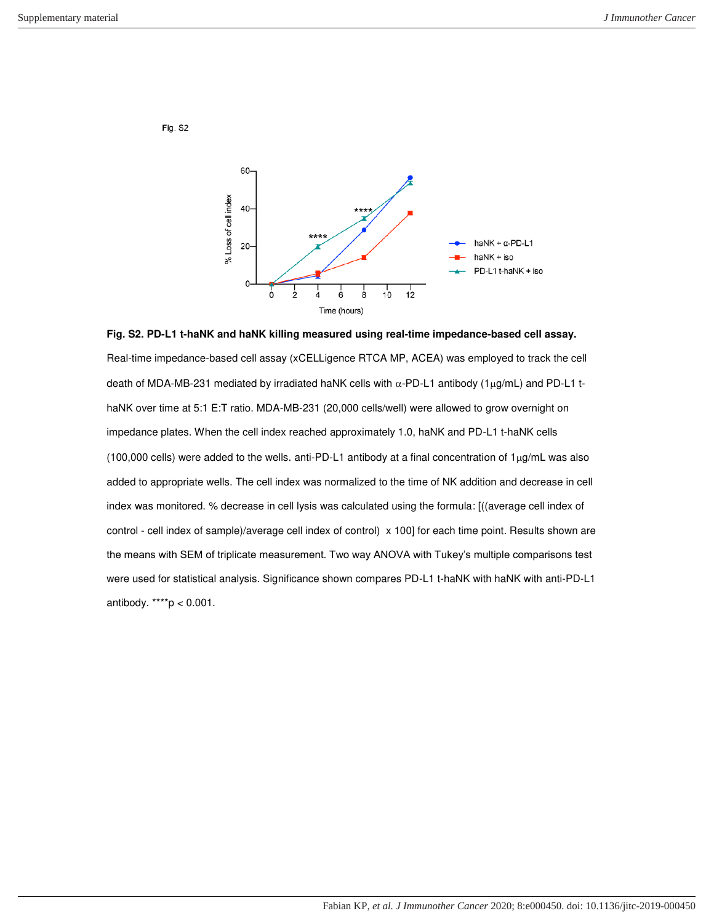Fig. S2



**Fig. S2. PD-L1 t-haNK and haNK killing measured using real-time impedance-based cell assay.** Real-time impedance-based cell assay (xCELLigence RTCA MP, ACEA) was employed to track the cell death of MDA-MB-231 mediated by irradiated haNK cells with  $\alpha$ -PD-L1 antibody (1 $\mu$ g/mL) and PD-L1 thaNK over time at 5:1 E:T ratio. MDA-MB-231 (20,000 cells/well) were allowed to grow overnight on impedance plates. When the cell index reached approximately 1.0, haNK and PD-L1 t-haNK cells (100,000 cells) were added to the wells. anti-PD-L1 antibody at a final concentration of  $1<sub>\mu</sub>g/mL$  was also added to appropriate wells. The cell index was normalized to the time of NK addition and decrease in cell index was monitored. % decrease in cell lysis was calculated using the formula: [((average cell index of control - cell index of sample)/average cell index of control) x 100] for each time point. Results shown are the means with SEM of triplicate measurement. Two way ANOVA with Tukey's multiple comparisons test were used for statistical analysis. Significance shown compares PD-L1 t-haNK with haNK with anti-PD-L1 antibody. \*\*\*\* $p < 0.001$ .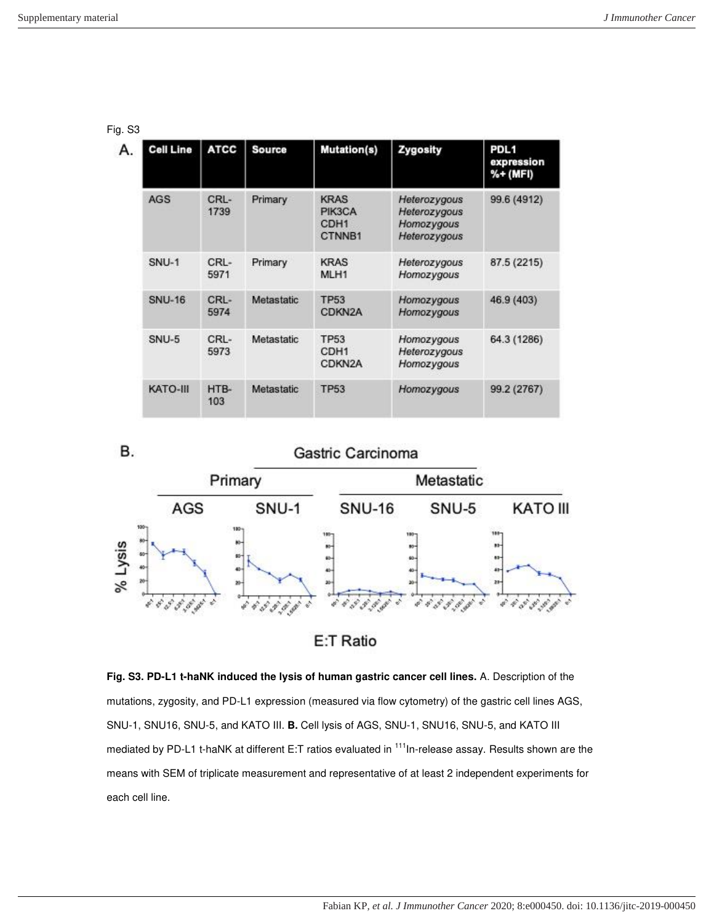|--|--|

| А. | <b>Cell Line</b>         | <b>ATCC</b>     | <b>Source</b>     | <b>Mutation(s)</b>                                  | Zygosity                                                   | PDL <sub>1</sub><br>expression<br>%+ (MFI) |
|----|--------------------------|-----------------|-------------------|-----------------------------------------------------|------------------------------------------------------------|--------------------------------------------|
|    | <b>AGS</b>               | CRL-<br>1739    | Primary           | <b>KRAS</b><br>PIK3CA<br>CDH <sub>1</sub><br>CTNNB1 | Heterozygous<br>Heterozygous<br>Homozygous<br>Heterozygous | 99.6 (4912)                                |
|    | SNU-1<br>CRL-<br>5971    |                 | Primary           | <b>KRAS</b><br>MLH1                                 | Heterozygous<br>Homozygous                                 | 87.5 (2215)                                |
|    | <b>SNU-16</b>            | $CRI -$<br>5974 | Metastatic        | <b>TP53</b><br>CDKN <sub>2</sub> A                  | Homozygous<br>Homozygous                                   | 46.9 (403)                                 |
|    | SNU-5<br>$CRI -$<br>5973 |                 | Metastatic        | <b>TP53</b><br>CDH <sub>1</sub><br>CDKN2A           | Homozygous<br>Heterozygous<br>Homozygous                   | 64.3 (1286)                                |
|    | KATO-III                 | HTB-<br>103     | <b>Metastatic</b> | <b>TP53</b>                                         | Homozygous                                                 | 99.2 (2767)                                |





**Fig. S3. PD-L1 t-haNK induced the lysis of human gastric cancer cell lines.** A. Description of the mutations, zygosity, and PD-L1 expression (measured via flow cytometry) of the gastric cell lines AGS, SNU-1, SNU16, SNU-5, and KATO III. **B.** Cell lysis of AGS, SNU-1, SNU16, SNU-5, and KATO III mediated by PD-L1 t-haNK at different E:T ratios evaluated in <sup>111</sup>In-release assay. Results shown are the means with SEM of triplicate measurement and representative of at least 2 independent experiments for each cell line.